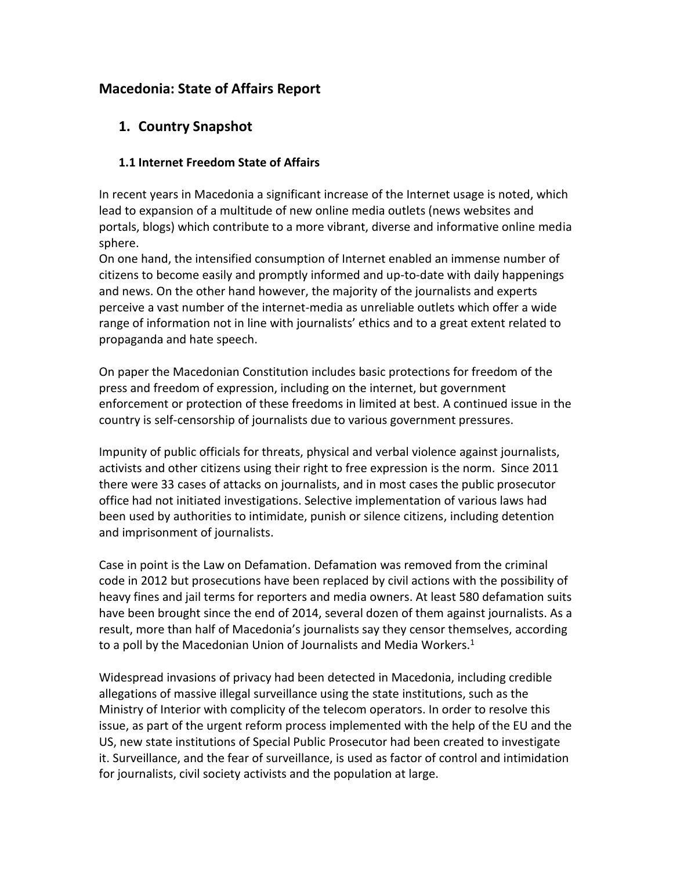# **Macedonia: State of Affairs Report**

# **1. Country Snapshot**

## **1.1 Internet Freedom State of Affairs**

In recent years in Macedonia a significant increase of the Internet usage is noted, which lead to expansion of a multitude of new online media outlets (news websites and portals, blogs) which contribute to a more vibrant, diverse and informative online media sphere.

On one hand, the intensified consumption of Internet enabled an immense number of citizens to become easily and promptly informed and up-to-date with daily happenings and news. On the other hand however, the majority of the journalists and experts perceive a vast number of the internet-media as unreliable outlets which offer a wide range of information not in line with journalists' ethics and to a great extent related to propaganda and hate speech.

On paper the Macedonian Constitution includes basic protections for freedom of the press and freedom of expression, including on the internet, but government enforcement or protection of these freedoms in limited at best. A continued issue in the country is self-censorship of journalists due to various government pressures.

Impunity of public officials for threats, physical and verbal violence against journalists, activists and other citizens using their right to free expression is the norm. Since 2011 there were 33 cases of attacks on journalists, and in most cases the public prosecutor office had not initiated investigations. Selective implementation of various laws had been used by authorities to intimidate, punish or silence citizens, including detention and imprisonment of journalists.

Case in point is the Law on Defamation. Defamation was removed from the criminal code in 2012 but prosecutions have been replaced by civil actions with the possibility of heavy fines and jail terms for reporters and media owners. At least 580 defamation suits have been brought since the end of 2014, several dozen of them against journalists. As a result, more than half of Macedonia's journalists say they censor themselves, according to a poll by the Macedonian Union of Journalists and Media Workers.<sup>1</sup>

Widespread invasions of privacy had been detected in Macedonia, including credible allegations of massive illegal surveillance using the state institutions, such as the Ministry of Interior with complicity of the telecom operators. In order to resolve this issue, as part of the urgent reform process implemented with the help of the EU and the US, new state institutions of Special Public Prosecutor had been created to investigate it. Surveillance, and the fear of surveillance, is used as factor of control and intimidation for journalists, civil society activists and the population at large.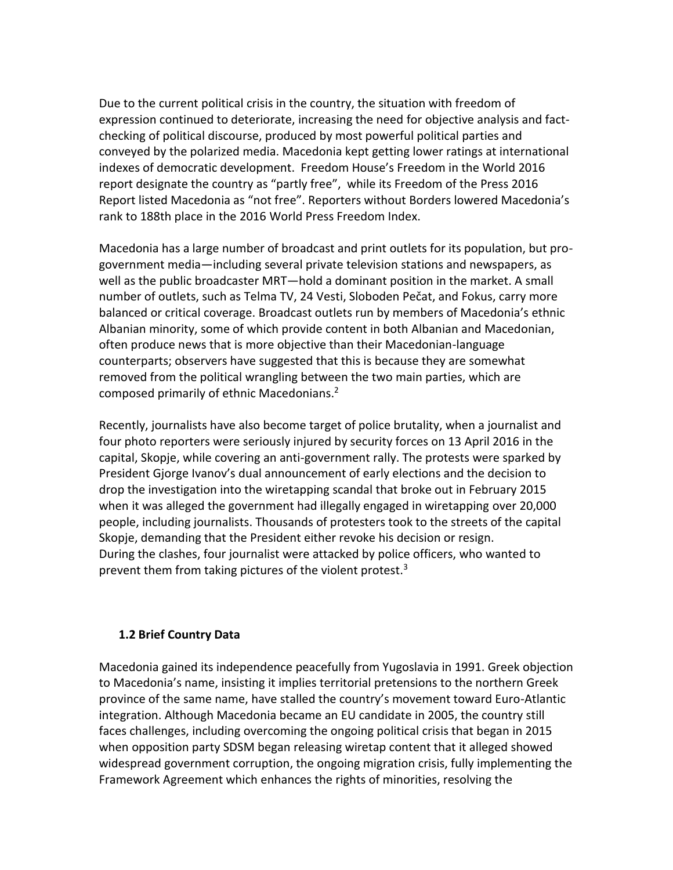Due to the current political crisis in the country, the situation with freedom of expression continued to deteriorate, increasing the need for objective analysis and factchecking of political discourse, produced by most powerful political parties and conveyed by the polarized media. Macedonia kept getting lower ratings at international indexes of democratic development. Freedom House's Freedom in the World 2016 report designate the country as "partly free", while its Freedom of the Press 2016 Report listed Macedonia as "not free". Reporters without Borders lowered Macedonia's rank to 188th place in the 2016 World Press Freedom Index.

Macedonia has a large number of broadcast and print outlets for its population, but progovernment media—including several private television stations and newspapers, as well as the public broadcaster MRT—hold a dominant position in the market. A small number of outlets, such as Telma TV, 24 Vesti, Sloboden Pečat, and Fokus, carry more balanced or critical coverage. Broadcast outlets run by members of Macedonia's ethnic Albanian minority, some of which provide content in both Albanian and Macedonian, often produce news that is more objective than their Macedonian-language counterparts; observers have suggested that this is because they are somewhat removed from the political wrangling between the two main parties, which are composed primarily of ethnic Macedonians.<sup>2</sup>

Recently, journalists have also become target of police brutality, when a journalist and four photo reporters were seriously injured by security forces on 13 April 2016 in the capital, Skopje, while covering an anti-government rally. The protests were sparked by President Gjorge Ivanov's dual announcement of early elections and the decision to drop the investigation into the wiretapping scandal that broke out in February 2015 when it was alleged the government had illegally engaged in wiretapping over 20,000 people, including journalists. Thousands of protesters took to the streets of the capital Skopje, demanding that the President either revoke his decision or resign. During the clashes, four journalist were attacked by police officers, who wanted to prevent them from taking pictures of the violent protest.<sup>3</sup>

### **1.2 Brief Country Data**

Macedonia gained its independence peacefully from Yugoslavia in 1991. Greek objection to Macedonia's name, insisting it implies territorial pretensions to the northern Greek province of the same name, have stalled the country's movement toward Euro-Atlantic integration. Although Macedonia became an EU candidate in 2005, the country still faces challenges, including overcoming the ongoing political crisis that began in 2015 when opposition party SDSM began releasing wiretap content that it alleged showed widespread government corruption, the ongoing migration crisis, fully implementing the Framework Agreement which enhances the rights of minorities, resolving the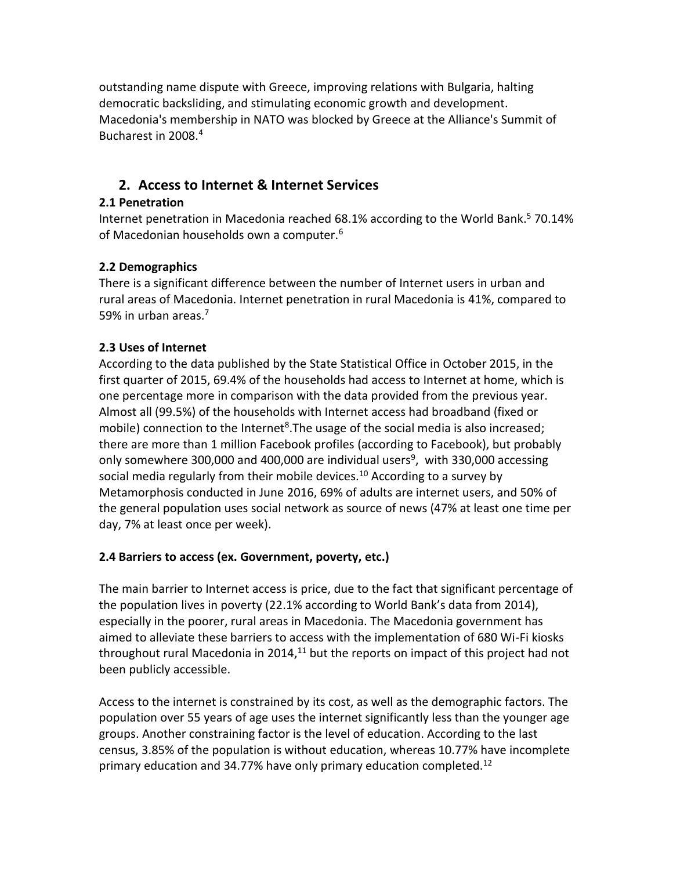outstanding name dispute with Greece, improving relations with Bulgaria, halting democratic backsliding, and stimulating economic growth and development. Macedonia's membership in NATO was blocked by Greece at the Alliance's Summit of Bucharest in 2008.<sup>4</sup>

# **2. Access to Internet & Internet Services**

## **2.1 Penetration**

Internet penetration in Macedonia reached 68.1% according to the World Bank. <sup>5</sup> 70.14% of Macedonian households own a computer.<sup>6</sup>

# **2.2 Demographics**

There is a significant difference between the number of Internet users in urban and rural areas of Macedonia. Internet penetration in rural Macedonia is 41%, compared to 59% in urban areas.<sup>7</sup>

# **2.3 Uses of Internet**

According to the data published by the State Statistical Office in October 2015, in the first quarter of 2015, 69.4% of the households had access to Internet at home, which is one percentage more in comparison with the data provided from the previous year. Almost all (99.5%) of the households with Internet access had broadband (fixed or mobile) connection to the Internet<sup>8</sup>. The usage of the social media is also increased; there are more than 1 million Facebook profiles (according to Facebook), but probably only somewhere 300,000 and 400,000 are individual users<sup>9</sup>, with 330,000 accessing social media regularly from their mobile devices.<sup>10</sup> According to a survey by Metamorphosis conducted in June 2016, 69% of adults are internet users, and 50% of the general population uses social network as source of news (47% at least one time per day, 7% at least once per week).

# **2.4 Barriers to access (ex. Government, poverty, etc.)**

The main barrier to Internet access is price, due to the fact that significant percentage of the population lives in poverty (22.1% according to World Bank's data from 2014), especially in the poorer, rural areas in Macedonia. The Macedonia government has aimed to alleviate these barriers to access with the implementation of 680 Wi-Fi kiosks throughout rural Macedonia in 2014, $11$  but the reports on impact of this project had not been publicly accessible.

Access to the internet is constrained by its cost, as well as the demographic factors. The population over 55 years of age uses the internet significantly less than the younger age groups. Another constraining factor is the level of education. According to the last census, 3.85% of the population is without education, whereas 10.77% have incomplete primary education and 34.77% have only primary education completed.<sup>12</sup>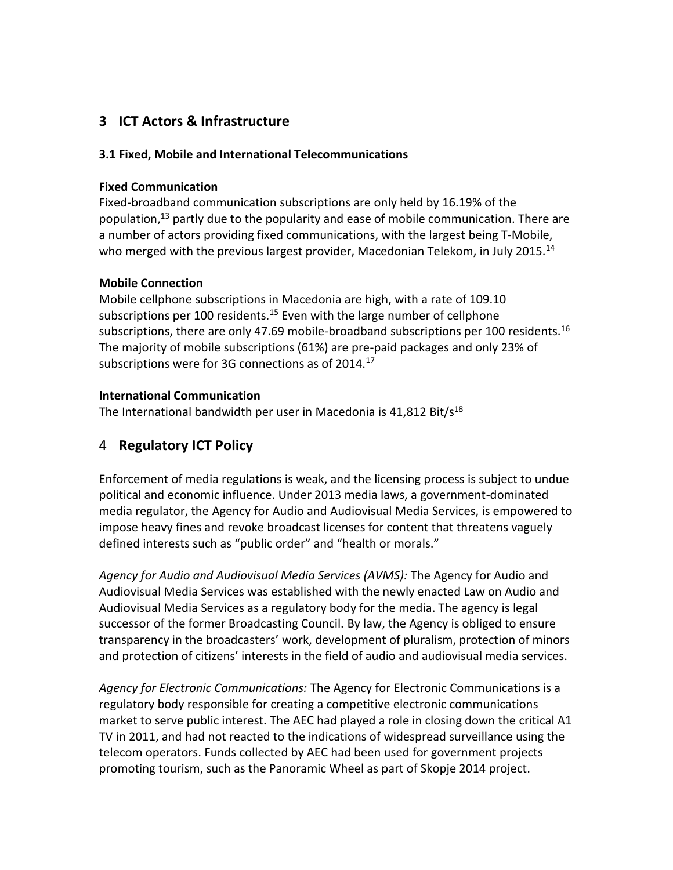# **3 ICT Actors & Infrastructure**

## **3.1 Fixed, Mobile and International Telecommunications**

### **Fixed Communication**

Fixed-broadband communication subscriptions are only held by 16.19% of the population, $13$  partly due to the popularity and ease of mobile communication. There are a number of actors providing fixed communications, with the largest being T-Mobile, who merged with the previous largest provider, Macedonian Telekom, in July 2015.<sup>14</sup>

## **Mobile Connection**

Mobile cellphone subscriptions in Macedonia are high, with a rate of 109.10 subscriptions per 100 residents.<sup>15</sup> Even with the large number of cellphone subscriptions, there are only 47.69 mobile-broadband subscriptions per 100 residents.<sup>16</sup> The majority of mobile subscriptions (61%) are pre-paid packages and only 23% of subscriptions were for 3G connections as of 2014.<sup>17</sup>

## **International Communication**

The International bandwidth per user in Macedonia is  $41,812$  Bit/ $5^{18}$ 

# 4 **Regulatory ICT Policy**

Enforcement of media regulations is weak, and the licensing process is subject to undue political and economic influence. Under 2013 media laws, a government-dominated media regulator, the Agency for Audio and Audiovisual Media Services, is empowered to impose heavy fines and revoke broadcast licenses for content that threatens vaguely defined interests such as "public order" and "health or morals."

*Agency for Audio and Audiovisual Media Services (AVMS):* The Agency for Audio and Audiovisual Media Services was established with the newly enacted Law on Audio and Audiovisual Media Services as a regulatory body for the media. The agency is legal successor of the former Broadcasting Council. By law, the Agency is obliged to ensure transparency in the broadcasters' work, development of pluralism, protection of minors and protection of citizens' interests in the field of audio and audiovisual media services.

*Agency for Electronic Communications:* The Agency for Electronic Communications is a regulatory body responsible for creating a competitive electronic communications market to serve public interest. The AEC had played a role in closing down the critical A1 TV in 2011, and had not reacted to the indications of widespread surveillance using the telecom operators. Funds collected by AEC had been used for government projects promoting tourism, such as the Panoramic Wheel as part of Skopje 2014 project.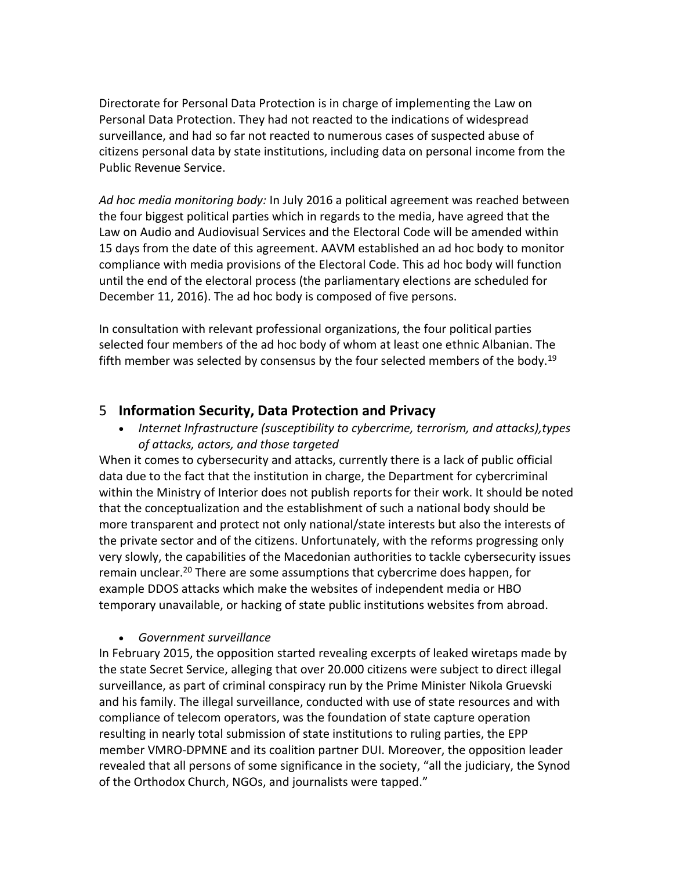Directorate for Personal Data Protection is in charge of implementing the Law on Personal Data Protection. They had not reacted to the indications of widespread surveillance, and had so far not reacted to numerous cases of suspected abuse of citizens personal data by state institutions, including data on personal income from the Public Revenue Service.

*Ad hoc media monitoring body:* In July 2016 a political agreement was reached between the four biggest political parties which in regards to the media, have agreed that the Law on Audio and Audiovisual Services and the Electoral Code will be amended within 15 days from the date of this agreement. AAVM established an ad hoc body to monitor compliance with media provisions of the Electoral Code. This ad hoc body will function until the end of the electoral process (the parliamentary elections are scheduled for December 11, 2016). The ad hoc body is composed of five persons.

In consultation with relevant professional organizations, the four political parties selected four members of the ad hoc body of whom at least one ethnic Albanian. The fifth member was selected by consensus by the four selected members of the body.<sup>19</sup>

# 5 **Information Security, Data Protection and Privacy**

 *Internet Infrastructure (susceptibility to cybercrime, terrorism, and attacks),types of attacks, actors, and those targeted*

When it comes to cybersecurity and attacks, currently there is a lack of public official data due to the fact that the institution in charge, the Department for cybercriminal within the Ministry of Interior does not publish reports for their work. It should be noted that the conceptualization and the establishment of such a national body should be more transparent and protect not only national/state interests but also the interests of the private sector and of the citizens. Unfortunately, with the reforms progressing only very slowly, the capabilities of the Macedonian authorities to tackle cybersecurity issues remain unclear.<sup>20</sup> There are some assumptions that cybercrime does happen, for example DDOS attacks which make the websites of independent media or HBO temporary unavailable, or hacking of state public institutions websites from abroad.

## *Government surveillance*

In February 2015, the opposition started revealing excerpts of leaked wiretaps made by the state Secret Service, alleging that over 20.000 citizens were subject to direct illegal surveillance, as part of criminal conspiracy run by the Prime Minister Nikola Gruevski and his family. The illegal surveillance, conducted with use of state resources and with compliance of telecom operators, was the foundation of state capture operation resulting in nearly total submission of state institutions to ruling parties, the EPP member VMRO-DPMNE and its coalition partner DUI. Moreover, the opposition leader revealed that all persons of some significance in the society, "all the judiciary, the Synod of the Orthodox Church, NGOs, and journalists were tapped."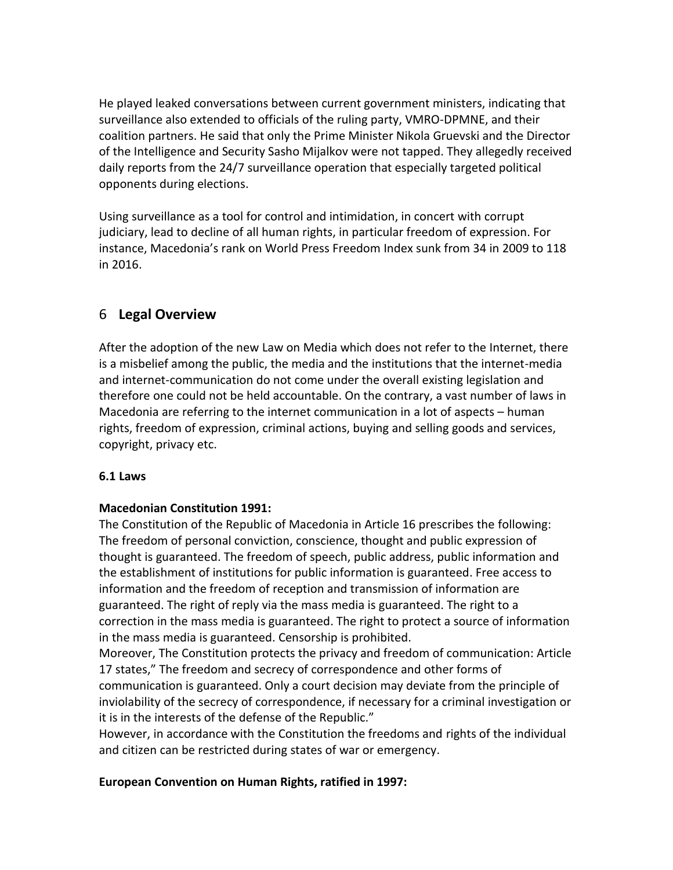He played leaked conversations between current government ministers, indicating that surveillance also extended to officials of the ruling party, VMRO-DPMNE, and their coalition partners. He said that only the Prime Minister Nikola Gruevski and the Director of the Intelligence and Security Sasho Mijalkov were not tapped. They allegedly received daily reports from the 24/7 surveillance operation that especially targeted political opponents during elections.

Using surveillance as a tool for control and intimidation, in concert with corrupt judiciary, lead to decline of all human rights, in particular freedom of expression. For instance, Macedonia's rank on World Press Freedom Index sunk from 34 in 2009 to 118 in 2016.

# 6 **Legal Overview**

After the adoption of the new Law on Media which does not refer to the Internet, there is a misbelief among the public, the media and the institutions that the internet-media and internet-communication do not come under the overall existing legislation and therefore one could not be held accountable. On the contrary, a vast number of laws in Macedonia are referring to the internet communication in a lot of aspects – human rights, freedom of expression, criminal actions, buying and selling goods and services, copyright, privacy etc.

## **6.1 Laws**

## **Macedonian Constitution 1991:**

The Constitution of the Republic of Macedonia in Article 16 prescribes the following: The freedom of personal conviction, conscience, thought and public expression of thought is guaranteed. The freedom of speech, public address, public information and the establishment of institutions for public information is guaranteed. Free access to information and the freedom of reception and transmission of information are guaranteed. The right of reply via the mass media is guaranteed. The right to a correction in the mass media is guaranteed. The right to protect a source of information in the mass media is guaranteed. Censorship is prohibited.

Moreover, The Constitution protects the privacy and freedom of communication: Article 17 states," The freedom and secrecy of correspondence and other forms of communication is guaranteed. Only a court decision may deviate from the principle of inviolability of the secrecy of correspondence, if necessary for a criminal investigation or it is in the interests of the defense of the Republic."

However, in accordance with the Constitution the freedoms and rights of the individual and citizen can be restricted during states of war or emergency.

## **European Convention on Human Rights, ratified in 1997:**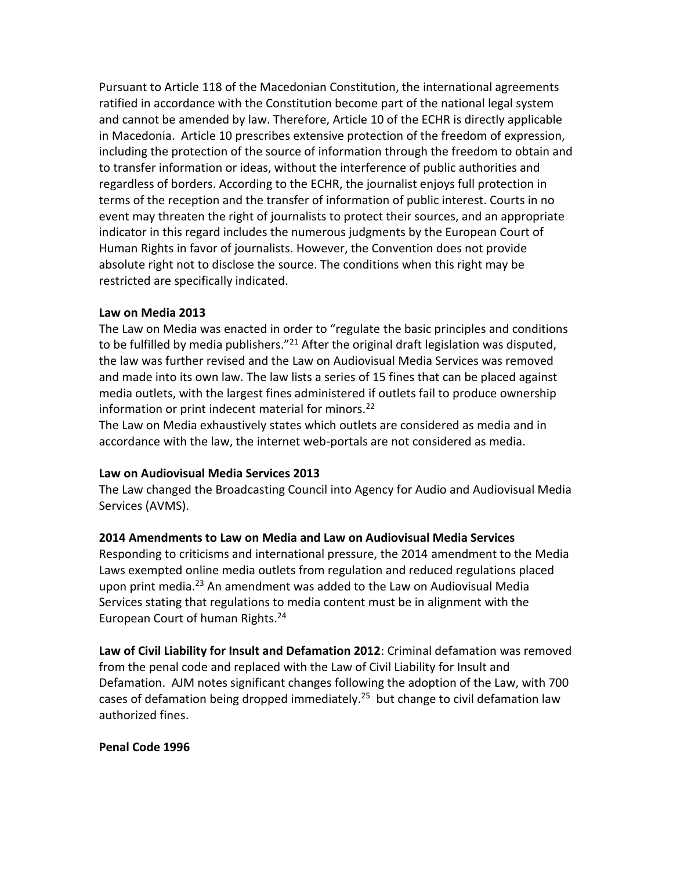Pursuant to Article 118 of the Macedonian Constitution, the international agreements ratified in accordance with the Constitution become part of the national legal system and cannot be amended by law. Therefore, Article 10 of the ECHR is directly applicable in Macedonia. Article 10 prescribes extensive protection of the freedom of expression, including the protection of the source of information through the freedom to obtain and to transfer information or ideas, without the interference of public authorities and regardless of borders. According to the ECHR, the journalist enjoys full protection in terms of the reception and the transfer of information of public interest. Courts in no event may threaten the right of journalists to protect their sources, and an appropriate indicator in this regard includes the numerous judgments by the European Court of Human Rights in favor of journalists. However, the Convention does not provide absolute right not to disclose the source. The conditions when this right may be restricted are specifically indicated.

#### **Law on Media 2013**

The Law on Media was enacted in order to "regulate the basic principles and conditions to be fulfilled by media publishers."<sup>21</sup> After the original draft legislation was disputed, the law was further revised and the Law on Audiovisual Media Services was removed and made into its own law. The law lists a series of 15 fines that can be placed against media outlets, with the largest fines administered if outlets fail to produce ownership information or print indecent material for minors.<sup>22</sup>

The Law on Media exhaustively states which outlets are considered as media and in accordance with the law, the internet web-portals are not considered as media.

### **Law on Audiovisual Media Services 2013**

The Law changed the Broadcasting Council into Agency for Audio and Audiovisual Media Services (AVMS).

## **2014 Amendments to Law on Media and Law on Audiovisual Media Services**

Responding to criticisms and international pressure, the 2014 amendment to the Media Laws exempted online media outlets from regulation and reduced regulations placed upon print media.<sup>23</sup> An amendment was added to the Law on Audiovisual Media Services stating that regulations to media content must be in alignment with the European Court of human Rights.<sup>24</sup>

**Law of Civil Liability for Insult and Defamation 2012**: Criminal defamation was removed from the penal code and replaced with the Law of Civil Liability for Insult and Defamation. AJM notes significant changes following the adoption of the Law, with 700 cases of defamation being dropped immediately.<sup>25</sup> but change to civil defamation law authorized fines.

### **Penal Code 1996**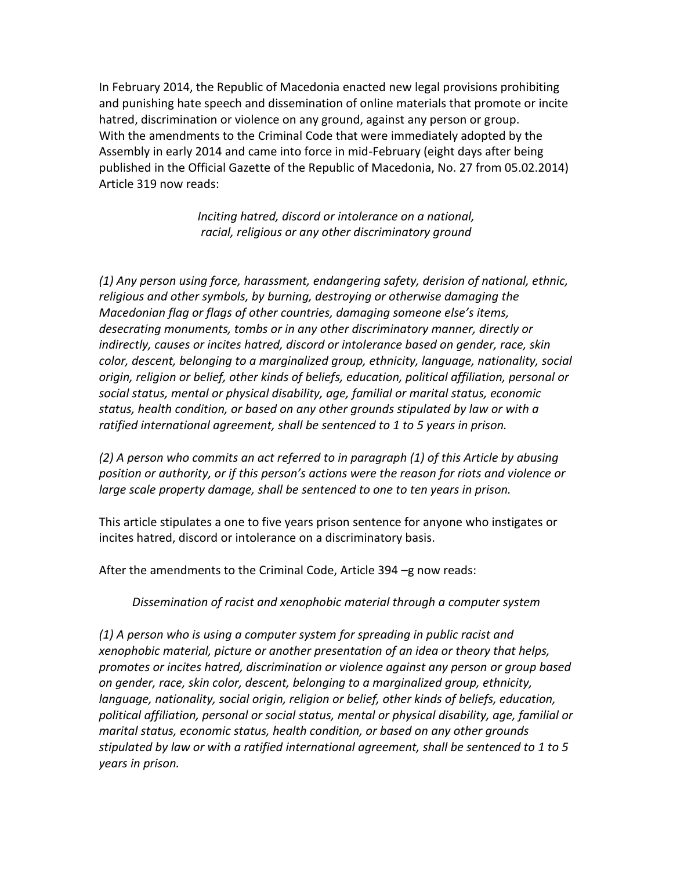In February 2014, the Republic of Macedonia enacted new legal provisions prohibiting and punishing hate speech and dissemination of online materials that promote or incite hatred, discrimination or violence on any ground, against any person or group. With the amendments to the Criminal Code that were immediately adopted by the Assembly in early 2014 and came into force in mid-February (eight days after being published in the Official Gazette of the Republic of Macedonia, No. 27 from 05.02.2014) Article 319 now reads:

> *Inciting hatred, discord or intolerance on a national, racial, religious or any other discriminatory ground*

*(1) Any person using force, harassment, endangering safety, derision of national, ethnic, religious and other symbols, by burning, destroying or otherwise damaging the Macedonian flag or flags of other countries, damaging someone else's items, desecrating monuments, tombs or in any other discriminatory manner, directly or indirectly, causes or incites hatred, discord or intolerance based on gender, race, skin color, descent, belonging to a marginalized group, ethnicity, language, nationality, social origin, religion or belief, other kinds of beliefs, education, political affiliation, personal or social status, mental or physical disability, age, familial or marital status, economic status, health condition, or based on any other grounds stipulated by law or with a ratified international agreement, shall be sentenced to 1 to 5 years in prison.*

*(2) A person who commits an act referred to in paragraph (1) of this Article by abusing position or authority, or if this person's actions were the reason for riots and violence or large scale property damage, shall be sentenced to one to ten years in prison.*

This article stipulates a one to five years prison sentence for anyone who instigates or incites hatred, discord or intolerance on a discriminatory basis.

After the amendments to the Criminal Code, Article 394 –g now reads:

*Dissemination of racist and xenophobic material through a computer system*

*(1) A person who is using a computer system for spreading in public racist and xenophobic material, picture or another presentation of an idea or theory that helps, promotes or incites hatred, discrimination or violence against any person or group based on gender, race, skin color, descent, belonging to a marginalized group, ethnicity, language, nationality, social origin, religion or belief, other kinds of beliefs, education, political affiliation, personal or social status, mental or physical disability, age, familial or marital status, economic status, health condition, or based on any other grounds stipulated by law or with a ratified international agreement, shall be sentenced to 1 to 5 years in prison.*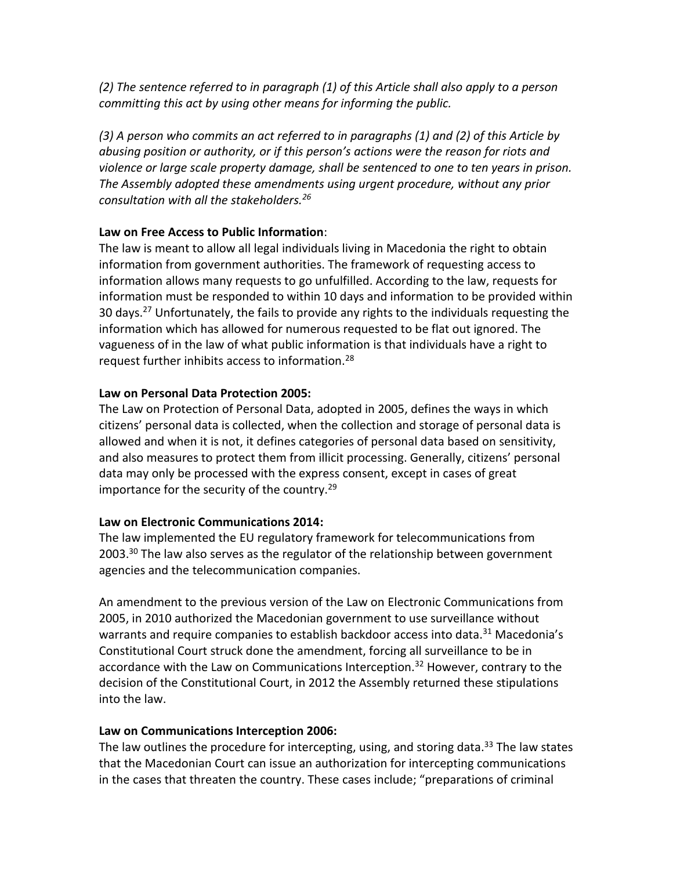*(2) The sentence referred to in paragraph (1) of this Article shall also apply to a person committing this act by using other means for informing the public.*

*(3) A person who commits an act referred to in paragraphs (1) and (2) of this Article by abusing position or authority, or if this person's actions were the reason for riots and violence or large scale property damage, shall be sentenced to one to ten years in prison. The Assembly adopted these amendments using urgent procedure, without any prior consultation with all the stakeholders.<sup>26</sup>*

## **Law on Free Access to Public Information**:

The law is meant to allow all legal individuals living in Macedonia the right to obtain information from government authorities. The framework of requesting access to information allows many requests to go unfulfilled. According to the law, requests for information must be responded to within 10 days and information to be provided within 30 days.<sup>27</sup> Unfortunately, the fails to provide any rights to the individuals requesting the information which has allowed for numerous requested to be flat out ignored. The vagueness of in the law of what public information is that individuals have a right to request further inhibits access to information.<sup>28</sup>

## **Law on Personal Data Protection 2005:**

The Law on Protection of Personal Data, adopted in 2005, defines the ways in which citizens' personal data is collected, when the collection and storage of personal data is allowed and when it is not, it defines categories of personal data based on sensitivity, and also measures to protect them from illicit processing. Generally, citizens' personal data may only be processed with the express consent, except in cases of great importance for the security of the country.<sup>29</sup>

### **Law on Electronic Communications 2014:**

The law implemented the EU regulatory framework for telecommunications from 2003.<sup>30</sup> The law also serves as the regulator of the relationship between government agencies and the telecommunication companies.

An amendment to the previous version of the Law on Electronic Communications from 2005, in 2010 authorized the Macedonian government to use surveillance without warrants and require companies to establish backdoor access into data.<sup>31</sup> Macedonia's Constitutional Court struck done the amendment, forcing all surveillance to be in accordance with the Law on Communications Interception.<sup>32</sup> However, contrary to the decision of the Constitutional Court, in 2012 the Assembly returned these stipulations into the law.

## **Law on Communications Interception 2006:**

The law outlines the procedure for intercepting, using, and storing data.<sup>33</sup> The law states that the Macedonian Court can issue an authorization for intercepting communications in the cases that threaten the country. These cases include; "preparations of criminal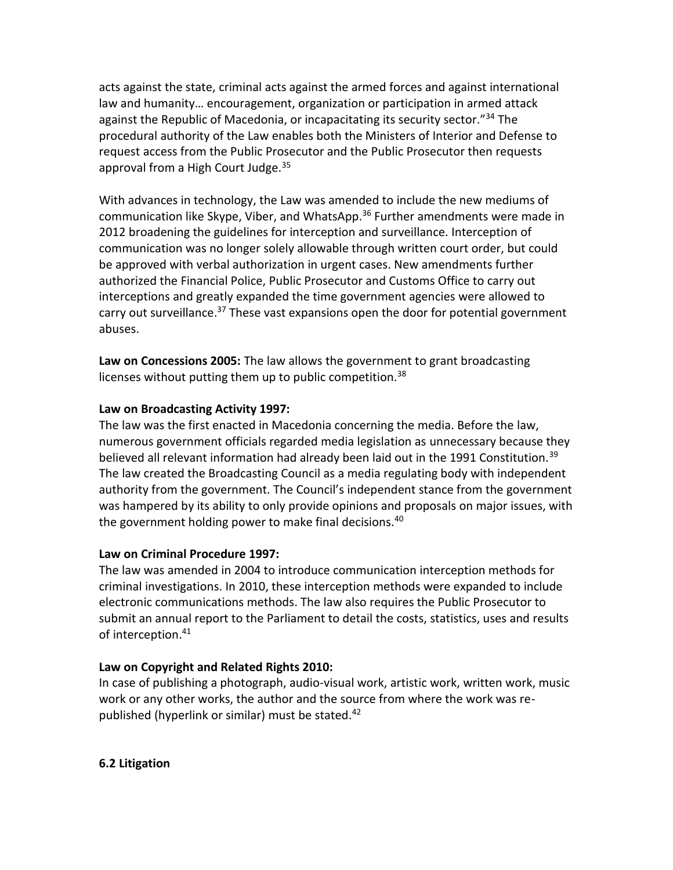acts against the state, criminal acts against the armed forces and against international law and humanity… encouragement, organization or participation in armed attack against the Republic of Macedonia, or incapacitating its security sector."<sup>34</sup> The procedural authority of the Law enables both the Ministers of Interior and Defense to request access from the Public Prosecutor and the Public Prosecutor then requests approval from a High Court Judge.<sup>35</sup>

With advances in technology, the Law was amended to include the new mediums of communication like Skype, Viber, and WhatsApp.<sup>36</sup> Further amendments were made in 2012 broadening the guidelines for interception and surveillance. Interception of communication was no longer solely allowable through written court order, but could be approved with verbal authorization in urgent cases. New amendments further authorized the Financial Police, Public Prosecutor and Customs Office to carry out interceptions and greatly expanded the time government agencies were allowed to carry out surveillance.<sup>37</sup> These vast expansions open the door for potential government abuses.

**Law on Concessions 2005:** The law allows the government to grant broadcasting licenses without putting them up to public competition.<sup>38</sup>

### **Law on Broadcasting Activity 1997:**

The law was the first enacted in Macedonia concerning the media. Before the law, numerous government officials regarded media legislation as unnecessary because they believed all relevant information had already been laid out in the 1991 Constitution.<sup>39</sup> The law created the Broadcasting Council as a media regulating body with independent authority from the government. The Council's independent stance from the government was hampered by its ability to only provide opinions and proposals on major issues, with the government holding power to make final decisions.<sup>40</sup>

### **Law on Criminal Procedure 1997:**

The law was amended in 2004 to introduce communication interception methods for criminal investigations. In 2010, these interception methods were expanded to include electronic communications methods. The law also requires the Public Prosecutor to submit an annual report to the Parliament to detail the costs, statistics, uses and results of interception.<sup>41</sup>

## **Law on Copyright and Related Rights 2010:**

In case of publishing a photograph, audio-visual work, artistic work, written work, music work or any other works, the author and the source from where the work was republished (hyperlink or similar) must be stated.<sup>42</sup>

### **6.2 Litigation**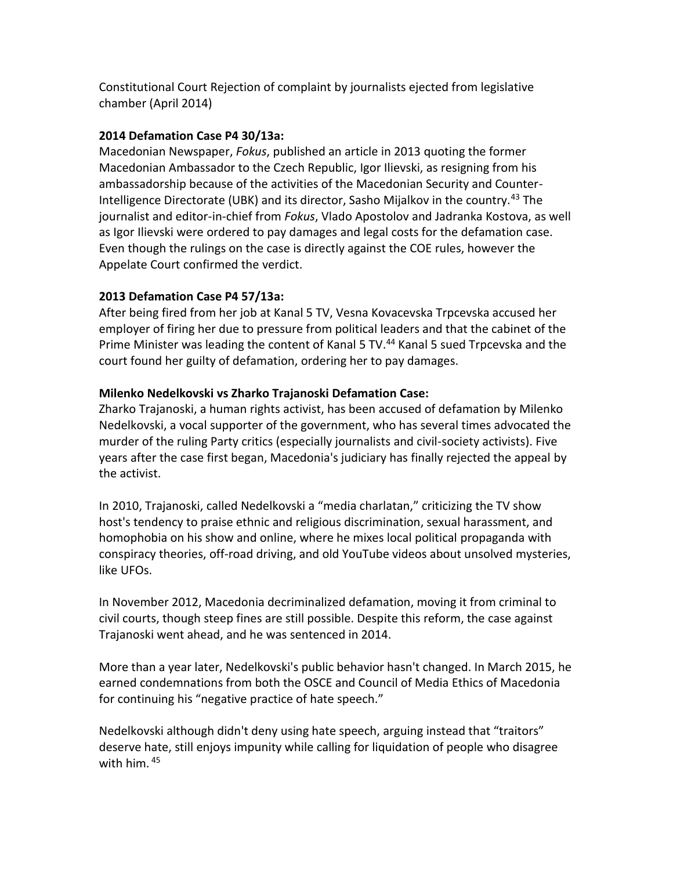Constitutional Court Rejection of complaint by journalists ejected from legislative chamber (April 2014)

## **2014 Defamation Case P4 30/13a:**

Macedonian Newspaper, *Fokus*, published an article in 2013 quoting the former Macedonian Ambassador to the Czech Republic, Igor Ilievski, as resigning from his ambassadorship because of the activities of the Macedonian Security and Counter-Intelligence Directorate (UBK) and its director, Sasho Mijalkov in the country.<sup>43</sup> The journalist and editor-in-chief from *Fokus*, Vlado Apostolov and Jadranka Kostova, as well as Igor Ilievski were ordered to pay damages and legal costs for the defamation case. Even though the rulings on the case is directly against the COE rules, however the Appelate Court confirmed the verdict.

## **2013 Defamation Case P4 57/13a:**

After being fired from her job at Kanal 5 TV, Vesna Kovacevska Trpcevska accused her employer of firing her due to pressure from political leaders and that the cabinet of the Prime Minister was leading the content of Kanal 5 TV.<sup>44</sup> Kanal 5 sued Trpcevska and the court found her guilty of defamation, ordering her to pay damages.

## **Milenko Nedelkovski vs Zharko Trajanoski Defamation Case:**

Zharko Trajanoski, a human rights activist, has been accused of defamation by Milenko Nedelkovski, a vocal supporter of the government, who has several times advocated the murder of the ruling Party critics (especially journalists and civil-society activists). Five years after the case first began, Macedonia's judiciary has finally rejected the appeal by the activist.

In 2010, Trajanoski, called Nedelkovski a "media charlatan," criticizing the TV show host's tendency to praise ethnic and religious discrimination, sexual harassment, and homophobia on his show and online, where he mixes local political propaganda with conspiracy theories, off-road driving, and old YouTube videos about unsolved mysteries, like UFOs.

In November 2012, Macedonia decriminalized defamation, moving it from criminal to civil courts, though steep fines are still possible. Despite this reform, the case against Trajanoski went ahead, and he was sentenced in 2014.

More than a year later, Nedelkovski's public behavior hasn't changed. In March 2015, he earned condemnations from both the OSCE and Council of Media Ethics of Macedonia for continuing his "negative practice of hate speech."

Nedelkovski although didn't deny using hate speech, arguing instead that "traitors" deserve hate, still enjoys impunity while calling for liquidation of people who disagree with him. <sup>45</sup>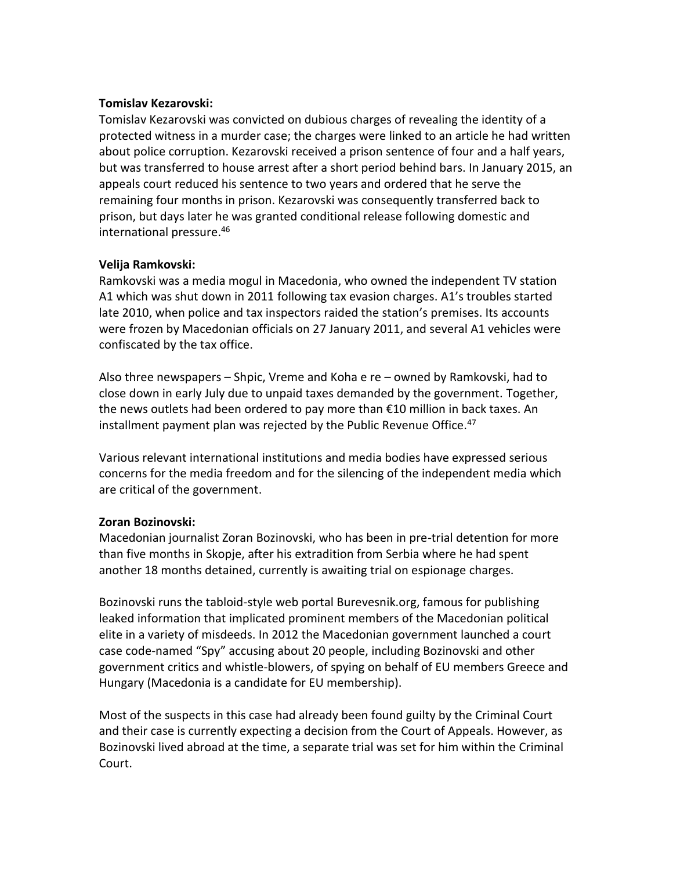### **Tomislav Kezarovski:**

Tomislav Kezarovski was convicted on dubious charges of revealing the identity of a protected witness in a murder case; the charges were linked to an article he had written about police corruption. Kezarovski received a prison sentence of four and a half years, but was transferred to house arrest after a short period behind bars. In January 2015, an appeals court reduced his sentence to two years and ordered that he serve the remaining four months in prison. Kezarovski was consequently transferred back to prison, but days later he was granted conditional release following domestic and international pressure.<sup>46</sup>

### **Velija Ramkovski:**

Ramkovski was a media mogul in Macedonia, who owned the independent TV station A1 which was shut down in 2011 following tax evasion charges. A1's troubles started late 2010, when police and tax inspectors raided the station's premises. Its accounts were frozen by Macedonian officials on 27 January 2011, and several A1 vehicles were confiscated by the tax office.

Also three newspapers – Shpic, Vreme and Koha e re – owned by Ramkovski, had to close down in early July due to unpaid taxes demanded by the government. Together, the news outlets had been ordered to pay more than €10 million in back taxes. An installment payment plan was rejected by the Public Revenue Office.<sup>47</sup>

Various relevant international institutions and media bodies have expressed serious concerns for the media freedom and for the silencing of the independent media which are critical of the government.

### **Zoran Bozinovski:**

Macedonian journalist Zoran Bozinovski, who has been in pre-trial detention for more than five months in Skopje, after his extradition from Serbia where he had spent another 18 months detained, currently is awaiting trial on espionage charges.

Bozinovski runs the tabloid-style web portal Burevesnik.org, famous for publishing leaked information that implicated prominent members of the Macedonian political elite in a variety of misdeeds. In 2012 the Macedonian government launched a court case code-named "Spy" accusing about 20 people, including Bozinovski and other government critics and whistle-blowers, of spying on behalf of EU members Greece and Hungary (Macedonia is a candidate for EU membership).

Most of the suspects in this case had already been found guilty by the Criminal Court and their case is currently expecting a decision from the Court of Appeals. However, as Bozinovski lived abroad at the time, a separate trial was set for him within the Criminal Court.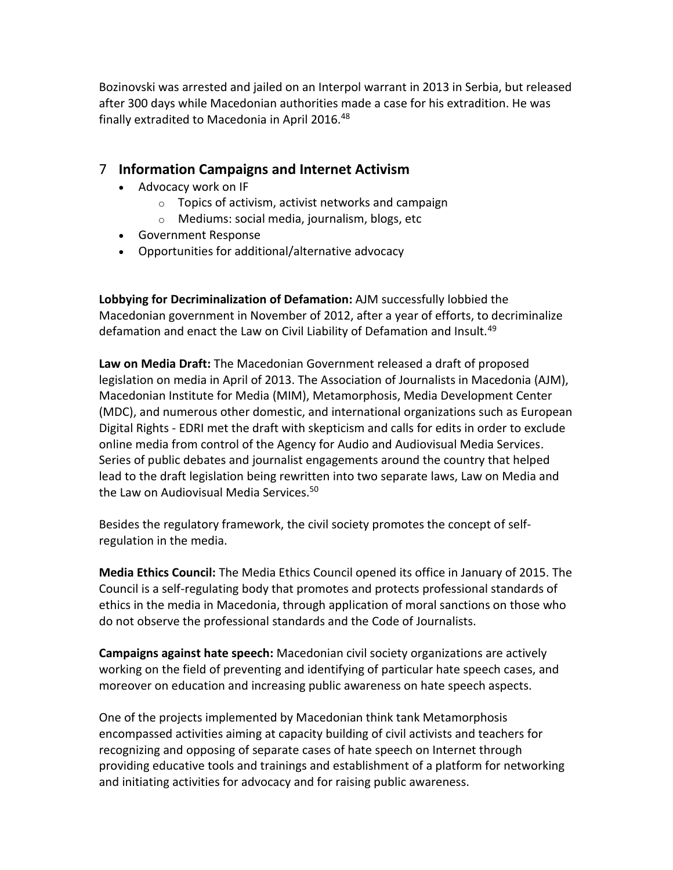Bozinovski was arrested and jailed on an Interpol warrant in 2013 in Serbia, but released after 300 days while Macedonian authorities made a case for his extradition. He was finally extradited to Macedonia in April 2016.<sup>48</sup>

# 7 **Information Campaigns and Internet Activism**

- Advocacy work on IF
	- o Topics of activism, activist networks and campaign
	- o Mediums: social media, journalism, blogs, etc
- Government Response
- Opportunities for additional/alternative advocacy

**Lobbying for Decriminalization of Defamation:** AJM successfully lobbied the Macedonian government in November of 2012, after a year of efforts, to decriminalize defamation and enact the Law on Civil Liability of Defamation and Insult.<sup>49</sup>

**Law on Media Draft:** The Macedonian Government released a draft of proposed legislation on media in April of 2013. The Association of Journalists in Macedonia (AJM), Macedonian Institute for Media (MIM), Metamorphosis, Media Development Center (MDC), and numerous other domestic, and international organizations such as European Digital Rights - EDRI met the draft with skepticism and calls for edits in order to exclude online media from control of the Agency for Audio and Audiovisual Media Services. Series of public debates and journalist engagements around the country that helped lead to the draft legislation being rewritten into two separate laws, Law on Media and the Law on Audiovisual Media Services.<sup>50</sup>

Besides the regulatory framework, the civil society promotes the concept of selfregulation in the media.

**Media Ethics Council:** The Media Ethics Council opened its office in January of 2015. The Council is a self-regulating body that promotes and protects professional standards of ethics in the media in Macedonia, through application of moral sanctions on those who do not observe the professional standards and the Code of Journalists.

**Campaigns against hate speech:** Macedonian civil society organizations are actively working on the field of preventing and identifying of particular hate speech cases, and moreover on education and increasing public awareness on hate speech aspects.

One of the projects implemented by Macedonian think tank Metamorphosis encompassed activities aiming at capacity building of civil activists and teachers for recognizing and opposing of separate cases of hate speech on Internet through providing educative tools and trainings and establishment of a platform for networking and initiating activities for advocacy and for raising public awareness.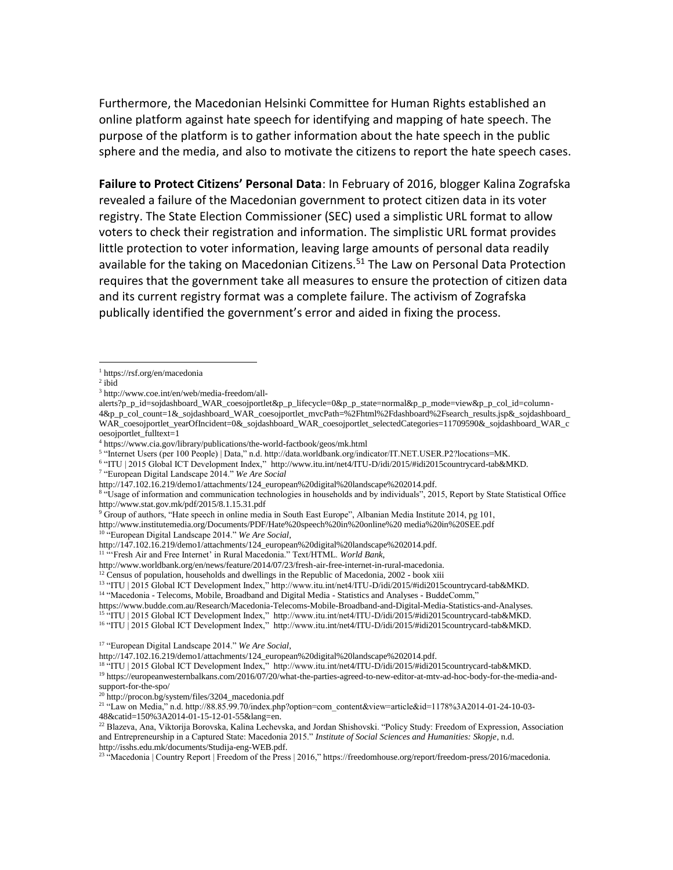Furthermore, the Macedonian Helsinki Committee for Human Rights established an online platform against hate speech for identifying and mapping of hate speech. The purpose of the platform is to gather information about the hate speech in the public sphere and the media, and also to motivate the citizens to report the hate speech cases.

**Failure to Protect Citizens' Personal Data**: In February of 2016, blogger Kalina Zografska revealed a failure of the Macedonian government to protect citizen data in its voter registry. The State Election Commissioner (SEC) used a simplistic URL format to allow voters to check their registration and information. The simplistic URL format provides little protection to voter information, leaving large amounts of personal data readily available for the taking on Macedonian Citizens.<sup>51</sup> The Law on Personal Data Protection requires that the government take all measures to ensure the protection of citizen data and its current registry format was a complete failure. The activism of Zografska publically identified the government's error and aided in fixing the process.

 $\overline{a}$ 

<sup>6</sup> "ITU | 2015 Global ICT Development Index," http://www.itu.int/net4/ITU-D/idi/2015/#idi2015countrycard-tab&MKD.

<sup>1</sup> https://rsf.org/en/macedonia

 $2$  ibid

<sup>3</sup> http://www.coe.int/en/web/media-freedom/all-

alerts?p\_p\_id=sojdashboard\_WAR\_coesojportlet&p\_p\_lifecycle=0&p\_p\_state=normal&p\_p\_mode=view&p\_p\_col\_id=column-4&p\_p\_col\_count=1&\_sojdashboard\_WAR\_coesojportlet\_mvcPath=%2Fhtml%2Fdashboard%2Fsearch\_results.jsp&\_sojdashboard\_ WAR\_coesojportlet\_yearOfIncident=0&\_sojdashboard\_WAR\_coesojportlet\_selectedCategories=11709590&\_sojdashboard\_WAR\_c oesojportlet\_fulltext=1

<sup>4</sup> https://www.cia.gov/library/publications/the-world-factbook/geos/mk.html

<sup>5</sup> "Internet Users (per 100 People) | Data," n.d. http://data.worldbank.org/indicator/IT.NET.USER.P2?locations=MK.

<sup>7</sup> "European Digital Landscape 2014." *We Are Social*

http://147.102.16.219/demo1/attachments/124\_european%20digital%20landscape%202014.pdf.

<sup>&</sup>lt;sup>8</sup> "Usage of information and communication technologies in households and by individuals", 2015, Report by State Statistical Office http://www.stat.gov.mk/pdf/2015/8.1.15.31.pdf

<sup>9</sup> Group of authors, "Hate speech in online media in South East Europe", Albanian Media Institute 2014, pg 101, http://www.institutemedia.org/Documents/PDF/Hate%20speech%20in%20online%20 media%20in%20SEE.pdf

<sup>10</sup> "European Digital Landscape 2014." *We Are Social*,

http://147.102.16.219/demo1/attachments/124\_european%20digital%20landscape%202014.pdf.

<sup>&</sup>lt;sup>11 "</sup>Fresh Air and Free Internet' in Rural Macedonia." Text/HTML. *World Bank*,

http://www.worldbank.org/en/news/feature/2014/07/23/fresh-air-free-internet-in-rural-macedonia.

 $12$  Census of population, households and dwellings in the Republic of Macedonia, 2002 - book xiii

<sup>13</sup> "ITU | 2015 Global ICT Development Index," http://www.itu.int/net4/ITU-D/idi/2015/#idi2015countrycard-tab&MKD.

<sup>&</sup>lt;sup>14</sup> "Macedonia - Telecoms, Mobile, Broadband and Digital Media - Statistics and Analyses - BuddeComm,"

https://www.budde.com.au/Research/Macedonia-Telecoms-Mobile-Broadband-and-Digital-Media-Statistics-and-Analyses.

<sup>15</sup> "ITU | 2015 Global ICT Development Index," http://www.itu.int/net4/ITU-D/idi/2015/#idi2015countrycard-tab&MKD.

<sup>16</sup> "ITU | 2015 Global ICT Development Index," http://www.itu.int/net4/ITU-D/idi/2015/#idi2015countrycard-tab&MKD.

<sup>17</sup> "European Digital Landscape 2014." *We Are Social*,

http://147.102.16.219/demo1/attachments/124\_european%20digital%20landscape%202014.pdf.

<sup>18</sup> "ITU | 2015 Global ICT Development Index," http://www.itu.int/net4/ITU-D/idi/2015/#idi2015countrycard-tab&MKD. <sup>19</sup> https://europeanwesternbalkans.com/2016/07/20/what-the-parties-agreed-to-new-editor-at-mtv-ad-hoc-body-for-the-media-and-

support-for-the-spo/

<sup>20</sup> http://procon.bg/system/files/3204\_macedonia.pdf

<sup>21</sup> "Law on Media," n.d. http://88.85.99.70/index.php?option=com\_content&view=article&id=1178%3A2014-01-24-10-03- 48&catid=150%3A2014-01-15-12-01-55&lang=en.

<sup>&</sup>lt;sup>22</sup> Blazeva, Ana, Viktorija Borovska, Kalina Lechevska, and Jordan Shishovski. "Policy Study: Freedom of Expression, Association

and Entrepreneurship in a Captured State: Macedonia 2015." *Institute of Social Sciences and Humanities: Skopje*, n.d. http://isshs.edu.mk/documents/Studija-eng-WEB.pdf.

<sup>&</sup>lt;sup>23</sup> "Macedonia | Country Report | Freedom of the Press | 2016," https://freedomhouse.org/report/freedom-press/2016/macedonia.